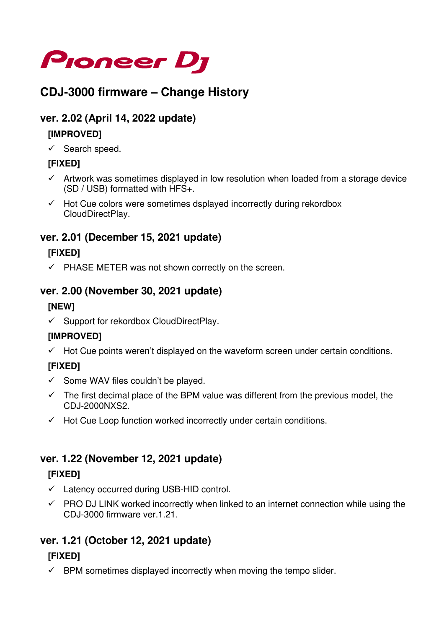

# **CDJ-3000 firmware – Change History**

### **ver. 2.02 (April 14, 2022 update)**

#### **[IMPROVED]**

 $\checkmark$  Search speed.

#### **[FIXED]**

- $\checkmark$  Artwork was sometimes displayed in low resolution when loaded from a storage device (SD / USB) formatted with HFS+.
- $\checkmark$  Hot Cue colors were sometimes dsplayed incorrectly during rekordbox CloudDirectPlay.

### **ver. 2.01 (December 15, 2021 update)**

#### **[FIXED]**

 $\checkmark$  PHASE METER was not shown correctly on the screen.

#### **ver. 2.00 (November 30, 2021 update)**

#### **[NEW]**

 $\checkmark$  Support for rekordbox CloudDirectPlay.

#### **[IMPROVED]**

 $\checkmark$  Hot Cue points weren't displayed on the waveform screen under certain conditions.

#### **[FIXED]**

- $\checkmark$  Some WAV files couldn't be played.
- $\checkmark$  The first decimal place of the BPM value was different from the previous model, the CDJ-2000NXS2.
- $\checkmark$  Hot Cue Loop function worked incorrectly under certain conditions.

### **ver. 1.22 (November 12, 2021 update)**

#### **[FIXED]**

- $\checkmark$  Latency occurred during USB-HID control.
- $\checkmark$  PRO DJ LINK worked incorrectly when linked to an internet connection while using the CDJ-3000 firmware ver.1.21.

## **ver. 1.21 (October 12, 2021 update)**

#### **[FIXED]**

 $\checkmark$  BPM sometimes displayed incorrectly when moving the tempo slider.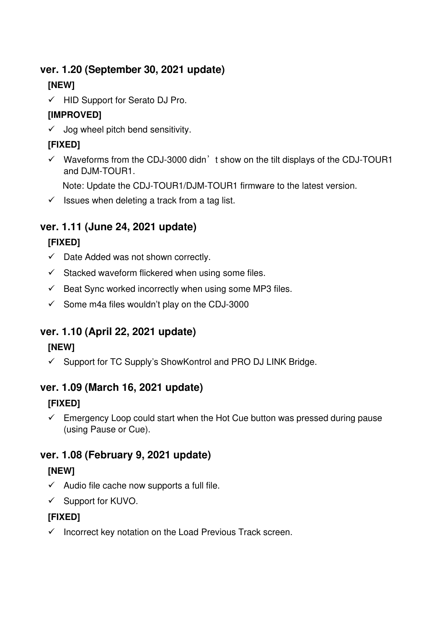### **ver. 1.20 (September 30, 2021 update)**

## **[NEW]**

 $\checkmark$  HID Support for Serato DJ Pro.

## **[IMPROVED]**

 $\checkmark$  Jog wheel pitch bend sensitivity.

## **[FIXED]**

 $\checkmark$  Waveforms from the CDJ-3000 didn't show on the tilt displays of the CDJ-TOUR1 and DJM-TOUR1.

Note: Update the CDJ-TOUR1/DJM-TOUR1 firmware to the latest version.

 $\checkmark$  Issues when deleting a track from a tag list.

# **ver. 1.11 (June 24, 2021 update)**

## **[FIXED]**

- $\checkmark$  Date Added was not shown correctly.
- $\checkmark$  Stacked waveform flickered when using some files.
- $\checkmark$  Beat Sync worked incorrectly when using some MP3 files.
- $\checkmark$  Some m4a files wouldn't play on the CDJ-3000

## **ver. 1.10 (April 22, 2021 update)**

### **[NEW]**

 $\checkmark$  Support for TC Supply's ShowKontrol and PRO DJ LINK Bridge.

## **ver. 1.09 (March 16, 2021 update)**

## **[FIXED]**

 $\checkmark$  Emergency Loop could start when the Hot Cue button was pressed during pause (using Pause or Cue).

## **ver. 1.08 (February 9, 2021 update)**

## **[NEW]**

- $\checkmark$  Audio file cache now supports a full file.
- $\checkmark$  Support for KUVO.

### **[FIXED]**

 $\checkmark$  Incorrect key notation on the Load Previous Track screen.